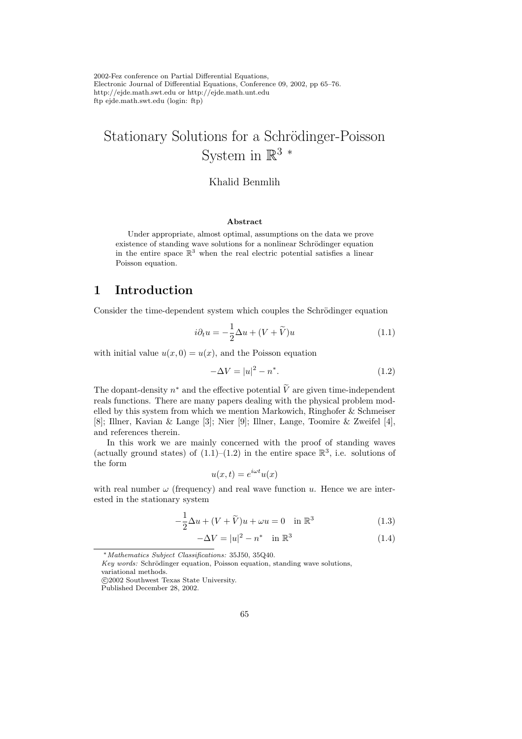2002-Fez conference on Partial Differential Equations, Electronic Journal of Differential Equations, Conference 09, 2002, pp 65–76. http://ejde.math.swt.edu or http://ejde.math.unt.edu ftp ejde.math.swt.edu (login: ftp)

# Stationary Solutions for a Schrödinger-Poisson System in  $\mathbb{R}^3$  \*

### Khalid Benmlih

#### Abstract

Under appropriate, almost optimal, assumptions on the data we prove existence of standing wave solutions for a nonlinear Schrödinger equation in the entire space  $\mathbb{R}^3$  when the real electric potential satisfies a linear Poisson equation.

## 1 Introduction

Consider the time-dependent system which couples the Schrödinger equation

$$
i\partial_t u = -\frac{1}{2}\Delta u + (V + \widetilde{V})u
$$
\n(1.1)

with initial value  $u(x, 0) = u(x)$ , and the Poisson equation

$$
-\Delta V = |u|^2 - n^*.
$$
 (1.2)

The dopant-density  $n^*$  and the effective potential  $\tilde{V}$  are given time-independent reals functions. There are many papers dealing with the physical problem modelled by this system from which we mention Markowich, Ringhofer & Schmeiser [8]; Illner, Kavian & Lange [3]; Nier [9]; Illner, Lange, Toomire & Zweifel [4], and references therein.

In this work we are mainly concerned with the proof of standing waves (actually ground states) of  $(1.1)$ – $(1.2)$  in the entire space  $\mathbb{R}^3$ , i.e. solutions of the form

$$
u(x,t) = e^{i\omega t}u(x)
$$

with real number  $\omega$  (frequency) and real wave function u. Hence we are interested in the stationary system

$$
-\frac{1}{2}\Delta u + (V + \tilde{V})u + \omega u = 0 \quad \text{in } \mathbb{R}^3
$$
 (1.3)

$$
-\Delta V = |u|^2 - n^* \quad \text{in } \mathbb{R}^3
$$
\n
$$
(1.4)
$$

<sup>∗</sup>Mathematics Subject Classifications: 35J50, 35Q40.

Key words: Schrödinger equation, Poisson equation, standing wave solutions,

variational methods.

c 2002 Southwest Texas State University.

Published December 28, 2002.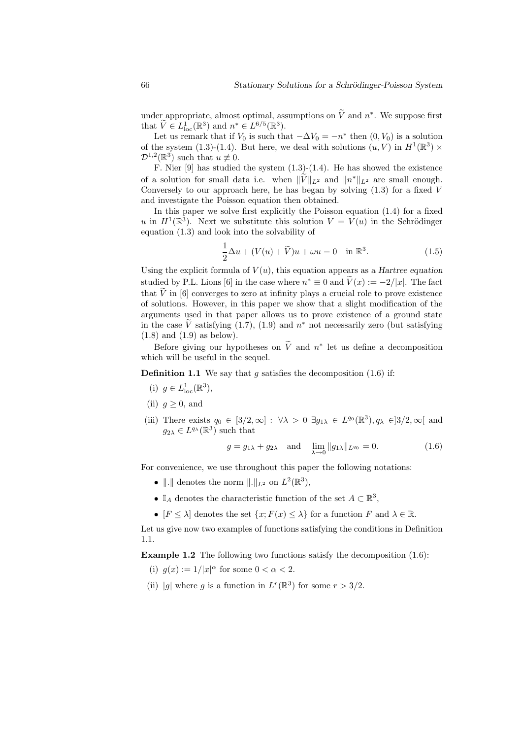under appropriate, almost optimal, assumptions on  $\tilde{V}$  and  $n^*$ . We suppose first that  $\widetilde{V} \in L^1_{\text{loc}}(\mathbb{R}^3)$  and  $n^* \in L^{6/5}(\mathbb{R}^3)$ .

Let us remark that if  $V_0$  is such that  $-\Delta V_0 = -n^*$  then  $(0, V_0)$  is a solution of the system (1.3)-(1.4). But here, we deal with solutions  $(u, V)$  in  $H^1(\mathbb{R}^3) \times$  $\mathcal{D}^{1,2}(\mathbb{R}^3)$  such that  $u \not\equiv 0$ .

F. Nier  $[9]$  has studied the system  $(1.3)-(1.4)$ . He has showed the existence of a solution for small data i.e. when  $\|\tilde{V}\|_{L^2}$  and  $\|n^*\|_{L^2}$  are small enough. Conversely to our approach here, he has began by solving  $(1.3)$  for a fixed V and investigate the Poisson equation then obtained.

In this paper we solve first explicitly the Poisson equation (1.4) for a fixed u in  $H^1(\mathbb{R}^3)$ . Next we substitute this solution  $V = V(u)$  in the Schrödinger equation (1.3) and look into the solvability of

$$
-\frac{1}{2}\Delta u + (V(u) + \widetilde{V})u + \omega u = 0 \quad \text{in } \mathbb{R}^3.
$$
 (1.5)

Using the explicit formula of  $V(u)$ , this equation appears as a Hartree equation studied by P.L. Lions [6] in the case where  $n^* \equiv 0$  and  $V(x) := -2/|x|$ . The fact that  $\tilde{V}$  in [6] converges to zero at infinity plays a crucial role to prove existence of solutions. However, in this paper we show that a slight modification of the arguments used in that paper allows us to prove existence of a ground state in the case  $\tilde{V}$  satisfying (1.7), (1.9) and  $n^*$  not necessarily zero (but satisfying (1.8) and (1.9) as below).

Before giving our hypotheses on  $\tilde{V}$  and  $n^*$  let us define a decomposition which will be useful in the sequel.

**Definition 1.1** We say that g satisfies the decomposition  $(1.6)$  if:

- (i)  $g \in L^1_{\text{loc}}(\mathbb{R}^3)$ ,
- (ii)  $q > 0$ , and
- (iii) There exists  $q_0 \in [3/2, \infty] : \forall \lambda > 0 \exists g_{1\lambda} \in L^{q_0}(\mathbb{R}^3), q_\lambda \in ]3/2, \infty[$  and  $g_{2\lambda} \in L^{q_{\lambda}}(\mathbb{R}^3)$  such that

$$
g = g_{1\lambda} + g_{2\lambda}
$$
 and  $\lim_{\lambda \to 0} ||g_{1\lambda}||_{L^{q_0}} = 0.$  (1.6)

For convenience, we use throughout this paper the following notations:

- $\|\cdot\|$  denotes the norm  $\|\cdot\|_{L^2}$  on  $L^2(\mathbb{R}^3)$ ,
- $\mathbb{I}_A$  denotes the characteristic function of the set  $A \subset \mathbb{R}^3$ ,
- $[F \leq \lambda]$  denotes the set  $\{x: F(x) \leq \lambda\}$  for a function F and  $\lambda \in \mathbb{R}$ .

Let us give now two examples of functions satisfying the conditions in Definition 1.1.

Example 1.2 The following two functions satisfy the decomposition (1.6):

- (i)  $g(x) := 1/|x|^{\alpha}$  for some  $0 < \alpha < 2$ .
- (ii) |g| where g is a function in  $L^r(\mathbb{R}^3)$  for some  $r > 3/2$ .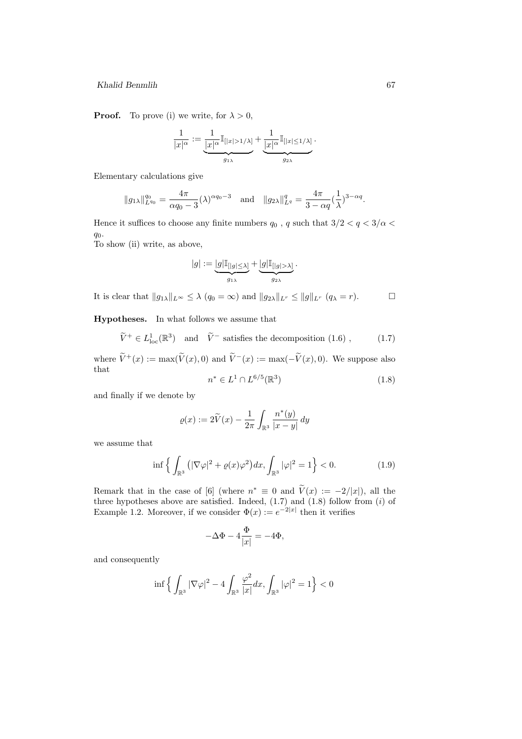**Proof.** To prove (i) we write, for  $\lambda > 0$ ,

$$
\frac{1}{|x|^{\alpha}}:=\underbrace{\frac{1}{|x|^{\alpha}}\mathbb{I}_{[|x|>1/\lambda]}}_{g_{1\lambda}}+\underbrace{\frac{1}{|x|^{\alpha}}\mathbb{I}_{[|x|\leq 1/\lambda]}}_{g_{2\lambda}}.
$$

Elementary calculations give

$$
||g_{1\lambda}||_{L^{q_0}}^{q_0} = \frac{4\pi}{\alpha q_0 - 3} (\lambda)^{\alpha q_0 - 3}
$$
 and  $||g_{2\lambda}||_{L^q}^q = \frac{4\pi}{3 - \alpha q} (\frac{1}{\lambda})^{3 - \alpha q}.$ 

Hence it suffices to choose any finite numbers  $q_0$  ,  $q$  such that  $3/2 < q < 3/\alpha <$  $q_0$ .

To show (ii) write, as above,

$$
|g|:=\underbrace{|g|\mathbb{I}_{[|g|\leq \lambda]}}_{g_{1\lambda}}+\underbrace{|g|\mathbb{I}_{[|g|>\lambda]}}_{g_{2\lambda}}.
$$

It is clear that  $||g_{1\lambda}||_{L^{\infty}} \leq \lambda (q_0 = \infty)$  and  $||g_{2\lambda}||_{L^r} \leq ||g||_{L^r} (q_{\lambda} = r).$ 

Hypotheses. In what follows we assume that

 $\widetilde{V}^+ \in L^1_{loc}(\mathbb{R}^3)$  and  $\widetilde{V}^-$  satisfies the decomposition  $(1.6)$ ,  $(1.7)$ 

where  $\widetilde{V}^+(x) := \max(\widetilde{V}(x), 0)$  and  $\widetilde{V}^-(x) := \max(-\widetilde{V}(x), 0)$ . We suppose also that

$$
n^* \in L^1 \cap L^{6/5}(\mathbb{R}^3)
$$
\n(1.8)

and finally if we denote by

$$
\varrho(x) := 2\widetilde{V}(x) - \frac{1}{2\pi} \int_{\mathbb{R}^3} \frac{n^*(y)}{|x - y|} dy
$$

we assume that

$$
\inf \left\{ \int_{\mathbb{R}^3} \left( |\nabla \varphi|^2 + \varrho(x) \varphi^2 \right) dx, \int_{\mathbb{R}^3} |\varphi|^2 = 1 \right\} < 0. \tag{1.9}
$$

Remark that in the case of [6] (where  $n^* \equiv 0$  and  $V(x) := -2/|x|$ ), all the three hypotheses above are satisfied. Indeed,  $(1.7)$  and  $(1.8)$  follow from  $(i)$  of Example 1.2. Moreover, if we consider  $\Phi(x) := e^{-2|x|}$  then it verifies

$$
-\Delta\Phi - 4\frac{\Phi}{|x|} = -4\Phi,
$$

and consequently

$$
\inf\Big\{\int_{\mathbb{R}^3}|\nabla \varphi|^2-4\int_{\mathbb{R}^3}\frac{\varphi^2}{|x|}dx,\int_{\mathbb{R}^3}|\varphi|^2=1\Big\}<0
$$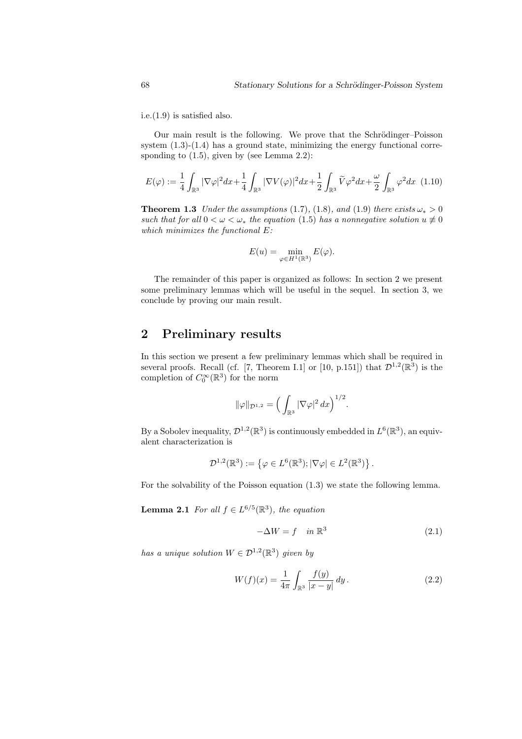i.e.(1.9) is satisfied also.

Our main result is the following. We prove that the Schrödinger–Poisson system  $(1.3)-(1.4)$  has a ground state, minimizing the energy functional corresponding to  $(1.5)$ , given by (see Lemma 2.2):

$$
E(\varphi) := \frac{1}{4} \int_{\mathbb{R}^3} |\nabla \varphi|^2 dx + \frac{1}{4} \int_{\mathbb{R}^3} |\nabla V(\varphi)|^2 dx + \frac{1}{2} \int_{\mathbb{R}^3} \widetilde{V} \varphi^2 dx + \frac{\omega}{2} \int_{\mathbb{R}^3} \varphi^2 dx \tag{1.10}
$$

**Theorem 1.3** Under the assumptions (1.7), (1.8), and (1.9) there exists  $\omega_* > 0$ such that for all  $0 < \omega < \omega_*$  the equation (1.5) has a nonnegative solution  $u \neq 0$ which minimizes the functional  $E$ :

$$
E(u) = \min_{\varphi \in H^1(\mathbb{R}^3)} E(\varphi).
$$

The remainder of this paper is organized as follows: In section 2 we present some preliminary lemmas which will be useful in the sequel. In section 3, we conclude by proving our main result.

## 2 Preliminary results

In this section we present a few preliminary lemmas which shall be required in several proofs. Recall (cf. [7, Theorem I.1] or [10, p.151]) that  $\mathcal{D}^{1,2}(\mathbb{R}^3)$  is the completion of  $C_0^{\infty}(\mathbb{R}^3)$  for the norm

$$
\|\varphi\|_{\mathcal{D}^{1,2}} = \Big(\int_{\mathbb{R}^3} |\nabla \varphi|^2 dx\Big)^{1/2}.
$$

By a Sobolev inequality,  $\mathcal{D}^{1,2}(\mathbb{R}^3)$  is continuously embedded in  $L^6(\mathbb{R}^3)$ , an equivalent characterization is

$$
\mathcal{D}^{1,2}(\mathbb{R}^3) := \left\{ \varphi \in L^6(\mathbb{R}^3); |\nabla \varphi| \in L^2(\mathbb{R}^3) \right\}.
$$

For the solvability of the Poisson equation (1.3) we state the following lemma.

**Lemma 2.1** For all  $f \in L^{6/5}(\mathbb{R}^3)$ , the equation

$$
-\Delta W = f \quad in \, \mathbb{R}^3 \tag{2.1}
$$

has a unique solution  $W \in \mathcal{D}^{1,2}(\mathbb{R}^3)$  given by

$$
W(f)(x) = \frac{1}{4\pi} \int_{\mathbb{R}^3} \frac{f(y)}{|x - y|} \, dy. \tag{2.2}
$$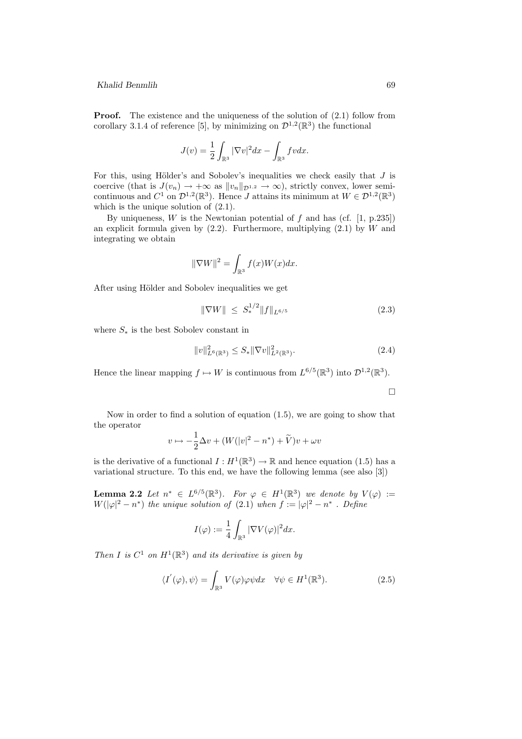**Proof.** The existence and the uniqueness of the solution of  $(2.1)$  follow from corollary 3.1.4 of reference [5], by minimizing on  $\mathcal{D}^{1,2}(\mathbb{R}^3)$  the functional

$$
J(v) = \frac{1}{2} \int_{\mathbb{R}^3} |\nabla v|^2 dx - \int_{\mathbb{R}^3} fv dx.
$$

For this, using Hölder's and Sobolev's inequalities we check easily that  $J$  is coercive (that is  $J(v_n) \to +\infty$  as  $||v_n||_{\mathcal{D}^{1,2}} \to \infty$ ), strictly convex, lower semicontinuous and  $C^1$  on  $\mathcal{D}^{1,2}(\mathbb{R}^3)$ . Hence J attains its minimum at  $W \in \mathcal{D}^{1,2}(\mathbb{R}^3)$ which is the unique solution of  $(2.1)$ .

By uniqueness,  $W$  is the Newtonian potential of  $f$  and has (cf. [1, p.235]) an explicit formula given by  $(2.2)$ . Furthermore, multiplying  $(2.1)$  by W and integrating we obtain

$$
\|\nabla W\|^2 = \int_{\mathbb{R}^3} f(x)W(x)dx.
$$

After using Hölder and Sobolev inequalities we get

$$
\|\nabla W\| \le S_*^{1/2} \|f\|_{L^{6/5}} \tag{2.3}
$$

where  $S_*$  is the best Sobolev constant in

$$
||v||_{L^{6}(\mathbb{R}^{3})}^{2} \leq S_{*}||\nabla v||_{L^{2}(\mathbb{R}^{3})}^{2}.
$$
\n(2.4)

Hence the linear mapping  $f \mapsto W$  is continuous from  $L^{6/5}(\mathbb{R}^3)$  into  $\mathcal{D}^{1,2}(\mathbb{R}^3)$ .

 $\Box$ 

Now in order to find a solution of equation (1.5), we are going to show that the operator

$$
v \mapsto -\frac{1}{2}\Delta v + (W(|v|^2 - n^*) + \widetilde{V})v + \omega v
$$

is the derivative of a functional  $I: H^1(\mathbb{R}^3) \to \mathbb{R}$  and hence equation (1.5) has a variational structure. To this end, we have the following lemma (see also [3])

**Lemma 2.2** Let  $n^* \in L^{6/5}(\mathbb{R}^3)$ . For  $\varphi \in H^1(\mathbb{R}^3)$  we denote by  $V(\varphi) :=$  $W(|\varphi|^2 - n^*)$  the unique solution of (2.1) when  $f := |\varphi|^2 - n^*$ . Define

$$
I(\varphi) := \frac{1}{4} \int_{\mathbb{R}^3} |\nabla V(\varphi)|^2 dx.
$$

Then I is  $C^1$  on  $H^1(\mathbb{R}^3)$  and its derivative is given by

$$
\langle I^{'}(\varphi), \psi \rangle = \int_{\mathbb{R}^3} V(\varphi)\varphi \psi dx \quad \forall \psi \in H^1(\mathbb{R}^3). \tag{2.5}
$$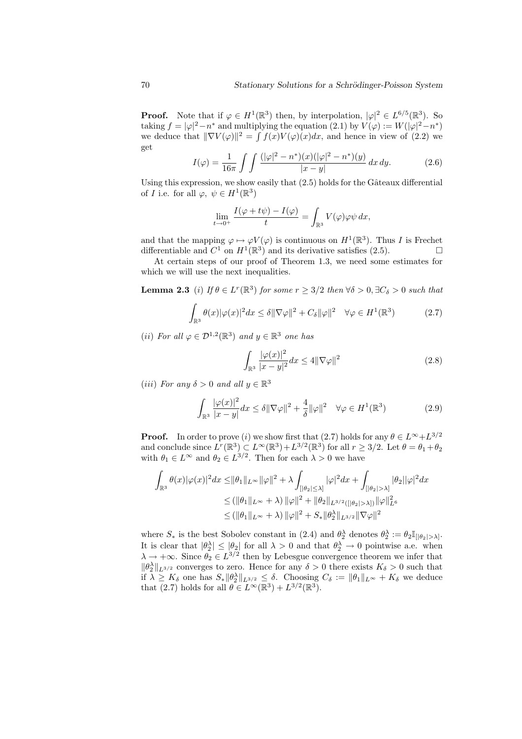**Proof.** Note that if  $\varphi \in H^1(\mathbb{R}^3)$  then, by interpolation,  $|\varphi|^2 \in L^{6/5}(\mathbb{R}^3)$ . So taking  $f = |\varphi|^2 - n^*$  and multiplying the equation (2.1) by  $V(\varphi) := W(|\varphi|^2 - n^*)$ we deduce that  $\|\nabla V(\varphi)\|^2 = \int f(x)V(\varphi)(x)dx$ , and hence in view of (2.2) we get

$$
I(\varphi) = \frac{1}{16\pi} \int \int \frac{(|\varphi|^2 - n^*)(x)(|\varphi|^2 - n^*)(y)}{|x - y|} dx dy.
$$
 (2.6)

Using this expression, we show easily that  $(2.5)$  holds for the Gâteaux differential of *I* i.e. for all  $\varphi, \psi \in H^1(\mathbb{R}^3)$ 

$$
\lim_{t \to 0^+} \frac{I(\varphi + t\psi) - I(\varphi)}{t} = \int_{\mathbb{R}^3} V(\varphi) \varphi \psi \, dx,
$$

and that the mapping  $\varphi \mapsto \varphi V(\varphi)$  is continuous on  $H^1(\mathbb{R}^3)$ . Thus I is Frechet differentiable and  $C^1$  on  $H^1(\mathbb{R}^3)$  and its derivative satisfies (2.5).

At certain steps of our proof of Theorem 1.3, we need some estimates for which we will use the next inequalities.

**Lemma 2.3** (i) If  $\theta \in L^r(\mathbb{R}^3)$  for some  $r \geq 3/2$  then  $\forall \delta > 0$ ,  $\exists C_\delta > 0$  such that

$$
\int_{\mathbb{R}^3} \theta(x) |\varphi(x)|^2 dx \le \delta ||\nabla \varphi||^2 + C_\delta ||\varphi||^2 \quad \forall \varphi \in H^1(\mathbb{R}^3)
$$
\n(2.7)

(*ii*) For all  $\varphi \in \mathcal{D}^{1,2}(\mathbb{R}^3)$  and  $y \in \mathbb{R}^3$  one has

$$
\int_{\mathbb{R}^3} \frac{|\varphi(x)|^2}{|x-y|^2} dx \le 4 \|\nabla \varphi\|^2 \tag{2.8}
$$

(iii) For any  $\delta > 0$  and all  $y \in \mathbb{R}^3$ 

$$
\int_{\mathbb{R}^3} \frac{|\varphi(x)|^2}{|x-y|} dx \le \delta \|\nabla \varphi\|^2 + \frac{4}{\delta} \|\varphi\|^2 \quad \forall \varphi \in H^1(\mathbb{R}^3)
$$
\n(2.9)

**Proof.** In order to prove (i) we show first that (2.7) holds for any  $\theta \in L^{\infty} + L^{3/2}$ and conclude since  $L^r(\mathbb{R}^3) \subset L^\infty(\mathbb{R}^3) + L^{3/2}(\mathbb{R}^3)$  for all  $r \geq 3/2$ . Let  $\theta = \theta_1 + \theta_2$ with  $\theta_1 \in L^{\infty}$  and  $\theta_2 \in L^{3/2}$ . Then for each  $\lambda > 0$  we have

$$
\int_{\mathbb{R}^3} \theta(x) |\varphi(x)|^2 dx \leq ||\theta_1||_{L^{\infty}} ||\varphi||^2 + \lambda \int_{[|\theta_2| \leq \lambda]} |\varphi|^2 dx + \int_{[|\theta_2| > \lambda]} |\theta_2||\varphi|^2 dx
$$
  
\n
$$
\leq (||\theta_1||_{L^{\infty}} + \lambda) ||\varphi||^2 + ||\theta_2||_{L^{3/2}([|\theta_2| > \lambda])} ||\varphi||_{L^6}^2
$$
  
\n
$$
\leq (||\theta_1||_{L^{\infty}} + \lambda) ||\varphi||^2 + S_* ||\theta_2||_{L^{3/2}} ||\nabla \varphi||^2
$$

where  $S_*$  is the best Sobolev constant in (2.4) and  $\theta_2^{\lambda}$  denotes  $\theta_2^{\lambda} := \theta_2 \mathbb{I}_{\{|\theta_2| > \lambda\}}$ . It is clear that  $|\theta_2^{\lambda}| \leq |\theta_2|$  for all  $\lambda > 0$  and that  $\theta_2^{\lambda} \to 0$  pointwise a.e. when  $\lambda \to +\infty$ . Since  $\theta_2 \in L^{3/2}$  then by Lebesgue convergence theorem we infer that  $\|\theta_2^{\lambda}\|_{L^{3/2}}$  converges to zero. Hence for any  $\delta > 0$  there exists  $K_{\delta} > 0$  such that if  $\lambda \geq K_{\delta}$  one has  $S_* ||\theta_2^{\lambda}||_{L^{3/2}} \leq \delta$ . Choosing  $C_{\delta} := ||\theta_1||_{L^{\infty}} + K_{\delta}$  we deduce that (2.7) holds for all  $\theta \in L^{\infty}(\mathbb{R}^3) + L^{3/2}(\mathbb{R}^3)$ .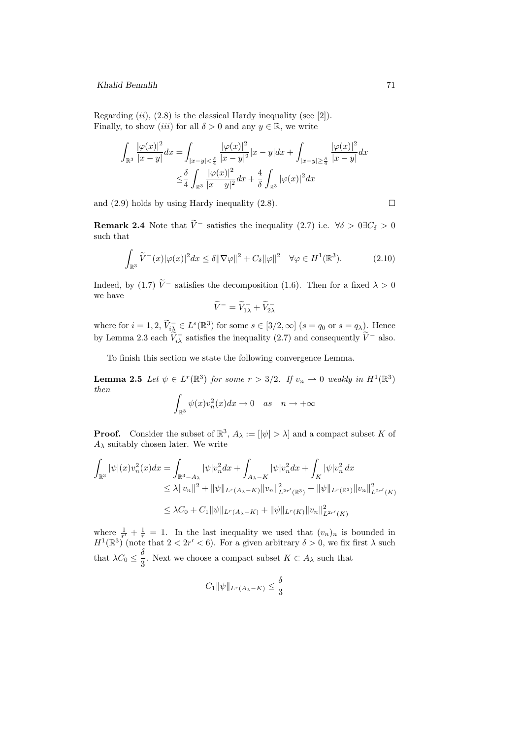Regarding  $(ii)$ ,  $(2.8)$  is the classical Hardy inequality (see [2]). Finally, to show *(iii)* for all  $\delta > 0$  and any  $y \in \mathbb{R}$ , we write

$$
\int_{\mathbb{R}^3} \frac{|\varphi(x)|^2}{|x-y|} dx = \int_{|x-y| < \frac{\delta}{4}} \frac{|\varphi(x)|^2}{|x-y|^2} |x-y| dx + \int_{|x-y| \ge \frac{\delta}{4}} \frac{|\varphi(x)|^2}{|x-y|} dx
$$
\n
$$
\le \frac{\delta}{4} \int_{\mathbb{R}^3} \frac{|\varphi(x)|^2}{|x-y|^2} dx + \frac{4}{\delta} \int_{\mathbb{R}^3} |\varphi(x)|^2 dx
$$

and  $(2.9)$  holds by using Hardy inequality  $(2.8)$ .

**Remark 2.4** Note that  $\tilde{V}$ <sup>-</sup> satisfies the inequality (2.7) i.e.  $\forall \delta > 0 \exists C_{\delta} > 0$ such that

$$
\int_{\mathbb{R}^3} \widetilde{V}^-(x)|\varphi(x)|^2 dx \le \delta \|\nabla \varphi\|^2 + C_{\delta} \|\varphi\|^2 \quad \forall \varphi \in H^1(\mathbb{R}^3). \tag{2.10}
$$

Indeed, by (1.7)  $\tilde{V}$ <sup>-</sup> satisfies the decomposition (1.6). Then for a fixed  $\lambda > 0$ we have

$$
\widetilde{V}^- = \widetilde{V}_{1\lambda}^- + \widetilde{V}_{2\lambda}^-
$$

where for  $i = 1, 2, \widetilde{V}_{i\lambda}^- \in L^s(\mathbb{R}^3)$  for some  $s \in [3/2, \infty]$   $(s = q_0 \text{ or } s = q_\lambda)$ . Hence by Lemma 2.3 each  $\tilde{V}_{i\lambda}^-$  satisfies the inequality (2.7) and consequently  $\tilde{V}^-$  also.

To finish this section we state the following convergence Lemma.

**Lemma 2.5** Let  $\psi \in L^r(\mathbb{R}^3)$  for some  $r > 3/2$ . If  $v_n \to 0$  weakly in  $H^1(\mathbb{R}^3)$ then

$$
\int_{\mathbb{R}^3} \psi(x) v_n^2(x) dx \to 0 \quad as \quad n \to +\infty
$$

**Proof.** Consider the subset of  $\mathbb{R}^3$ ,  $A_\lambda := [|\psi| > \lambda]$  and a compact subset K of  $A_{\lambda}$  suitably chosen later. We write

$$
\int_{\mathbb{R}^3} |\psi|(x) v_n^2(x) dx = \int_{\mathbb{R}^3 - A_\lambda} |\psi| v_n^2 dx + \int_{A_\lambda - K} |\psi| v_n^2 dx + \int_K |\psi| v_n^2 dx
$$
  
\n
$$
\leq \lambda ||v_n||^2 + ||\psi||_{L^r(A_\lambda - K)} ||v_n||_{L^{2r'}(\mathbb{R}^3)}^2 + ||\psi||_{L^r(\mathbb{R}^3)} ||v_n||_{L^{2r'}(K)}^2
$$
  
\n
$$
\leq \lambda C_0 + C_1 ||\psi||_{L^r(A_\lambda - K)} + ||\psi||_{L^r(K)} ||v_n||_{L^{2r'}(K)}^2
$$

where  $\frac{1}{r'} + \frac{1}{r} = 1$ . In the last inequality we used that  $(v_n)_n$  is bounded in  $H^1(\mathbb{R}^3)$  (note that  $2 < 2r' < 6$ ). For a given arbitrary  $\delta > 0$ , we fix first  $\lambda$  such that  $\lambda C_0 \leq \frac{\delta}{2}$  $\frac{3}{3}$ . Next we choose a compact subset  $K \subset A_{\lambda}$  such that

$$
C_1 \|\psi\|_{L^r(A_\lambda - K)} \le \frac{\delta}{3}
$$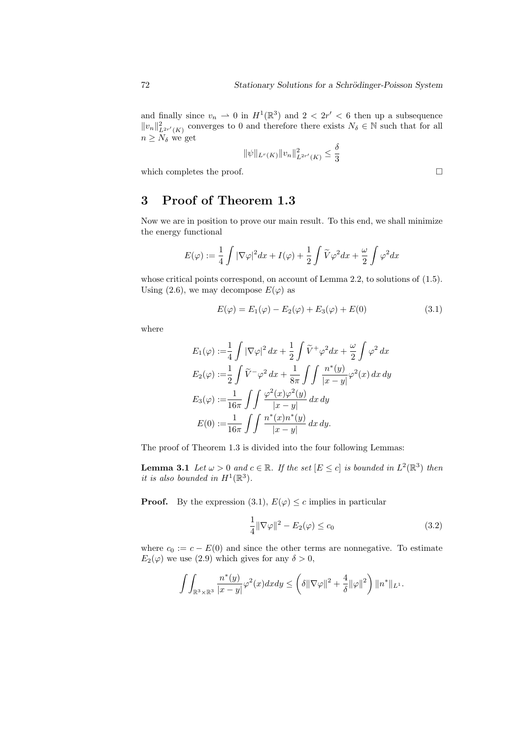and finally since  $v_n \rightharpoonup 0$  in  $H^1(\mathbb{R}^3)$  and  $2 < 2r' < 6$  then up a subsequence  $||v_n||_{L^{2r'}(K)}^2$  converges to 0 and therefore there exists  $N_{\delta} \in \mathbb{N}$  such that for all  $n \geq N_{\delta}$  we get

$$
\|\psi\|_{L^r(K)} \|v_n\|_{L^{2r'}(K)}^2 \le \frac{\delta}{3}
$$

which completes the proof.  $\Box$ 

## 3 Proof of Theorem 1.3

Now we are in position to prove our main result. To this end, we shall minimize the energy functional

$$
E(\varphi) := \frac{1}{4} \int |\nabla \varphi|^2 dx + I(\varphi) + \frac{1}{2} \int \widetilde{V} \varphi^2 dx + \frac{\omega}{2} \int \varphi^2 dx
$$

whose critical points correspond, on account of Lemma 2.2, to solutions of  $(1.5)$ . Using (2.6), we may decompose  $E(\varphi)$  as

$$
E(\varphi) = E_1(\varphi) - E_2(\varphi) + E_3(\varphi) + E(0)
$$
\n(3.1)

where

$$
E_1(\varphi) := \frac{1}{4} \int |\nabla \varphi|^2 dx + \frac{1}{2} \int \widetilde{V}^+ \varphi^2 dx + \frac{\omega}{2} \int \varphi^2 dx
$$
  
\n
$$
E_2(\varphi) := \frac{1}{2} \int \widetilde{V}^- \varphi^2 dx + \frac{1}{8\pi} \int \int \frac{n^*(y)}{|x - y|} \varphi^2(x) dx dy
$$
  
\n
$$
E_3(\varphi) := \frac{1}{16\pi} \int \int \frac{\varphi^2(x)\varphi^2(y)}{|x - y|} dx dy
$$
  
\n
$$
E(0) := \frac{1}{16\pi} \int \int \frac{n^*(x)n^*(y)}{|x - y|} dx dy.
$$

The proof of Theorem 1.3 is divided into the four following Lemmas:

**Lemma 3.1** Let  $\omega > 0$  and  $c \in \mathbb{R}$ . If the set  $[E \leq c]$  is bounded in  $L^2(\mathbb{R}^3)$  then it is also bounded in  $H^1(\mathbb{R}^3)$ .

**Proof.** By the expression (3.1),  $E(\varphi) \leq c$  implies in particular

$$
\frac{1}{4} \|\nabla \varphi\|^2 - E_2(\varphi) \le c_0 \tag{3.2}
$$

where  $c_0 := c - E(0)$  and since the other terms are nonnegative. To estimate  $E_2(\varphi)$  we use (2.9) which gives for any  $\delta > 0$ ,

$$
\int\!\int_{\mathbb{R}^3\times\mathbb{R}^3} \frac{n^*(y)}{|x-y|} \varphi^2(x) dx dy \leq \left(\delta \|\nabla \varphi\|^2 + \frac{4}{\delta} \|\varphi\|^2 \right) \|n^*\|_{L^1}.
$$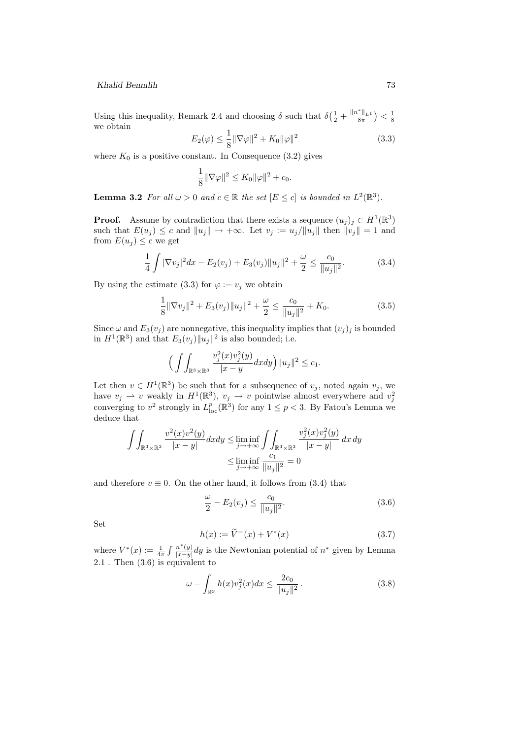Using this inequality, Remark 2.4 and choosing  $\delta$  such that  $\delta\left(\frac{1}{2} + \frac{||n^*||_{L^1}}{8\pi}\right) < \frac{1}{8}$ we obtain

$$
E_2(\varphi) \le \frac{1}{8} \|\nabla \varphi\|^2 + K_0 \|\varphi\|^2 \tag{3.3}
$$

where  $K_0$  is a positive constant. In Consequence (3.2) gives

$$
\frac{1}{8} \|\nabla \varphi\|^2 \le K_0 \|\varphi\|^2 + c_0.
$$

**Lemma 3.2** For all  $\omega > 0$  and  $c \in \mathbb{R}$  the set  $[E \leq c]$  is bounded in  $L^2(\mathbb{R}^3)$ .

**Proof.** Assume by contradiction that there exists a sequence  $(u_j)_j \subset H^1(\mathbb{R}^3)$ such that  $E(u_j) \leq c$  and  $||u_j|| \to +\infty$ . Let  $v_j := u_j/||u_j||$  then  $||v_j|| = 1$  and from  $E(u_i) \leq c$  we get

$$
\frac{1}{4} \int |\nabla v_j|^2 dx - E_2(v_j) + E_3(v_j) \|u_j\|^2 + \frac{\omega}{2} \le \frac{c_0}{\|u_j\|^2}.
$$
 (3.4)

By using the estimate (3.3) for  $\varphi := v_j$  we obtain

$$
\frac{1}{8} \|\nabla v_j\|^2 + E_3(v_j) \|u_j\|^2 + \frac{\omega}{2} \le \frac{c_0}{\|u_j\|^2} + K_0.
$$
 (3.5)

Since  $\omega$  and  $E_3(v_j)$  are nonnegative, this inequality implies that  $(v_j)_j$  is bounded in  $H^1(\mathbb{R}^3)$  and that  $E_3(v_j) ||u_j||^2$  is also bounded; i.e.

$$
\Big(\int\!\!\int_{\mathbb{R}^3\times\mathbb{R}^3}\frac{v_j^2(x)v_j^2(y)}{|x-y|}dxdy\Big)\|u_j\|^2\leq c_1.
$$

Let then  $v \in H^1(\mathbb{R}^3)$  be such that for a subsequence of  $v_j$ , noted again  $v_j$ , we have  $v_j \rightharpoonup v$  weakly in  $H^1(\mathbb{R}^3)$ ,  $v_j \rightharpoonup v$  pointwise almost everywhere and  $v_j^2$ converging to  $v^2$  strongly in  $L^p_{\text{loc}}(\mathbb{R}^3)$  for any  $1 \leq p < 3$ . By Fatou's Lemma we deduce that

$$
\iint_{\mathbb{R}^3 \times \mathbb{R}^3} \frac{v^2(x)v^2(y)}{|x - y|} dxdy \le \liminf_{j \to +\infty} \iint_{\mathbb{R}^3 \times \mathbb{R}^3} \frac{v_j^2(x)v_j^2(y)}{|x - y|} dx dy
$$
  

$$
\le \liminf_{j \to +\infty} \frac{c_1}{||u_j||^2} = 0
$$

and therefore  $v \equiv 0$ . On the other hand, it follows from (3.4) that

$$
\frac{\omega}{2} - E_2(v_j) \le \frac{c_0}{\|u_j\|^2}.
$$
\n(3.6)

Set

$$
h(x) := \tilde{V}^{-}(x) + V^{*}(x)
$$
\n(3.7)

where  $V^*(x) := \frac{1}{4\pi} \int \frac{n^*(y)}{|x-y|}$  $\frac{n^*(y)}{|x-y|}dy$  is the Newtonian potential of  $n^*$  given by Lemma 2.1 . Then (3.6) is equivalent to

$$
\omega - \int_{\mathbb{R}^3} h(x) v_j^2(x) dx \le \frac{2c_0}{\|u_j\|^2} \,. \tag{3.8}
$$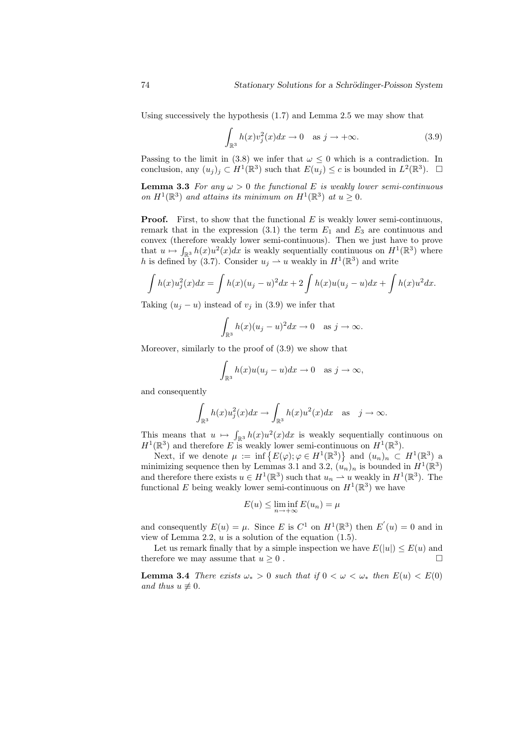Using successively the hypothesis  $(1.7)$  and Lemma 2.5 we may show that

$$
\int_{\mathbb{R}^3} h(x)v_j^2(x)dx \to 0 \quad \text{as } j \to +\infty.
$$
 (3.9)

Passing to the limit in (3.8) we infer that  $\omega \leq 0$  which is a contradiction. In conclusion, any  $(u_j)_j \subset H^1(\mathbb{R}^3)$  such that  $E(u_j) \leq c$  is bounded in  $L^2(\mathbb{R}^3)$ .  $\Box$ 

**Lemma 3.3** For any  $\omega > 0$  the functional E is weakly lower semi-continuous on  $H^1(\mathbb{R}^3)$  and attains its minimum on  $H^1(\mathbb{R}^3)$  at  $u \geq 0$ .

**Proof.** First, to show that the functional  $E$  is weakly lower semi-continuous, remark that in the expression  $(3.1)$  the term  $E_1$  and  $E_3$  are continuous and convex (therefore weakly lower semi-continuous). Then we just have to prove that  $u \mapsto \int_{\mathbb{R}^3} h(x)u^2(x)dx$  is weakly sequentially continuous on  $H^1(\mathbb{R}^3)$  where h is defined by (3.7). Consider  $u_j \rightharpoonup u$  weakly in  $H^1(\mathbb{R}^3)$  and write

$$
\int h(x)u_j^2(x)dx = \int h(x)(u_j - u)^2 dx + 2 \int h(x)u(u_j - u)dx + \int h(x)u^2 dx.
$$

Taking  $(u_i - u)$  instead of  $v_j$  in (3.9) we infer that

$$
\int_{\mathbb{R}^3} h(x)(u_j - u)^2 dx \to 0 \quad \text{as } j \to \infty.
$$

Moreover, similarly to the proof of (3.9) we show that

$$
\int_{\mathbb{R}^3} h(x)u(u_j - u)dx \to 0 \quad \text{as } j \to \infty,
$$

and consequently

$$
\int_{\mathbb{R}^3} h(x)u_j^2(x)dx \to \int_{\mathbb{R}^3} h(x)u^2(x)dx \text{ as } j \to \infty.
$$

This means that  $u \mapsto \int_{\mathbb{R}^3} h(x)u^2(x)dx$  is weakly sequentially continuous on  $H^1(\mathbb{R}^3)$  and therefore E is weakly lower semi-continuous on  $H^1(\mathbb{R}^3)$ .

Next, if we denote  $\mu := \inf \{ E(\varphi) ; \varphi \in H^1(\mathbb{R}^3) \}$  and  $(u_n)_n \subset H^1(\mathbb{R}^3)$  a minimizing sequence then by Lemmas 3.1 and 3.2,  $(u_n)_n$  is bounded in  $H^1(\mathbb{R}^3)$ and therefore there exists  $u \in H^1(\mathbb{R}^3)$  such that  $u_n \rightharpoonup u$  weakly in  $H^1(\mathbb{R}^3)$ . The functional E being weakly lower semi-continuous on  $H^1(\mathbb{R}^3)$  we have

$$
E(u) \le \liminf_{n \to +\infty} E(u_n) = \mu
$$

and consequently  $E(u) = \mu$ . Since E is  $C^1$  on  $H^1(\mathbb{R}^3)$  then  $E'(u) = 0$  and in view of Lemma 2.2,  $u$  is a solution of the equation  $(1.5)$ .

Let us remark finally that by a simple inspection we have  $E(|u|) \leq E(u)$  and therefore we may assume that  $u \geq 0$ .

**Lemma 3.4** There exists  $\omega_* > 0$  such that if  $0 < \omega < \omega_*$  then  $E(u) < E(0)$ and thus  $u \not\equiv 0$ .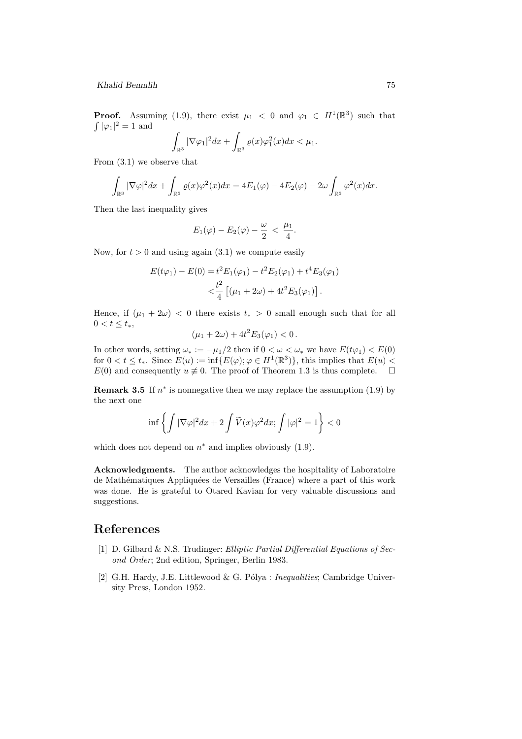**Proof.** Assuming (1.9), there exist  $\mu_1 < 0$  and  $\varphi_1 \in H^1(\mathbb{R}^3)$  such that  $\int |\varphi_1|^2 = 1$  and

$$
\int_{\mathbb{R}^3} |\nabla \varphi_1|^2 dx + \int_{\mathbb{R}^3} \varrho(x) \varphi_1^2(x) dx < \mu_1.
$$

From (3.1) we observe that

$$
\int_{\mathbb{R}^3} |\nabla \varphi|^2 dx + \int_{\mathbb{R}^3} \varrho(x) \varphi^2(x) dx = 4E_1(\varphi) - 4E_2(\varphi) - 2\omega \int_{\mathbb{R}^3} \varphi^2(x) dx.
$$

Then the last inequality gives

$$
E_1(\varphi) - E_2(\varphi) - \frac{\omega}{2} < \frac{\mu_1}{4}.
$$

Now, for  $t > 0$  and using again  $(3.1)$  we compute easily

$$
E(t\varphi_1) - E(0) = t^2 E_1(\varphi_1) - t^2 E_2(\varphi_1) + t^4 E_3(\varphi_1)
$$
  

$$
< \frac{t^2}{4} [(\mu_1 + 2\omega) + 4t^2 E_3(\varphi_1)].
$$

Hence, if  $(\mu_1 + 2\omega) < 0$  there exists  $t_* > 0$  small enough such that for all  $0 < t \leq t_*$ ,

$$
(\mu_1 + 2\omega) + 4t^2 E_3(\varphi_1) < 0.
$$

In other words, setting  $\omega_* := -\mu_1/2$  then if  $0 < \omega < \omega_*$  we have  $E(t\varphi_1) < E(0)$ for  $0 < t \leq t_*$ . Since  $E(u) := \inf \{ E(\varphi) ; \varphi \in H^1(\mathbb{R}^3) \}$ , this implies that  $E(u)$  $E(0)$  and consequently  $u \not\equiv 0$ . The proof of Theorem 1.3 is thus complete.  $\square$ 

**Remark 3.5** If  $n^*$  is nonnegative then we may replace the assumption (1.9) by the next one

$$
\inf \left\{ \int |\nabla \varphi|^2 dx + 2 \int \widetilde{V}(x) \varphi^2 dx ; \int |\varphi|^2 = 1 \right\} < 0
$$

which does not depend on  $n^*$  and implies obviously  $(1.9)$ .

Acknowledgments. The author acknowledges the hospitality of Laboratoire de Mathématiques Appliquées de Versailles (France) where a part of this work was done. He is grateful to Otared Kavian for very valuable discussions and suggestions.

## References

- [1] D. Gilbard & N.S. Trudinger: Elliptic Partial Differential Equations of Second Order; 2nd edition, Springer, Berlin 1983.
- [2] G.H. Hardy, J.E. Littlewood & G. Pólya : *Inequalities*; Cambridge University Press, London 1952.